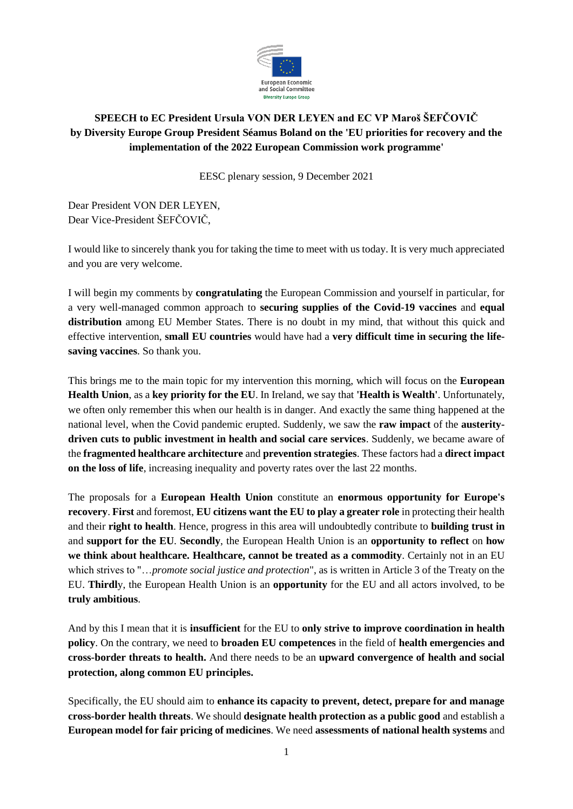

## **SPEECH to EC President Ursula VON DER LEYEN and EC VP Maroš ŠEFČOVIČ by Diversity Europe Group President Séamus Boland on the 'EU priorities for recovery and the implementation of the 2022 European Commission work programme'**

EESC plenary session, 9 December 2021

Dear President VON DER LEYEN, Dear Vice-President ŠEFČOVIČ,

I would like to sincerely thank you for taking the time to meet with us today. It is very much appreciated and you are very welcome.

I will begin my comments by **congratulating** the European Commission and yourself in particular, for a very well-managed common approach to **securing supplies of the Covid-19 vaccines** and **equal distribution** among EU Member States. There is no doubt in my mind, that without this quick and effective intervention, **small EU countries** would have had a **very difficult time in securing the lifesaving vaccines**. So thank you.

This brings me to the main topic for my intervention this morning, which will focus on the **European Health Union**, as a **key priority for the EU**. In Ireland, we say that **'Health is Wealth'**. Unfortunately, we often only remember this when our health is in danger. And exactly the same thing happened at the national level, when the Covid pandemic erupted. Suddenly, we saw the **raw impact** of the **austeritydriven cuts to public investment in health and social care services**. Suddenly, we became aware of the **fragmented healthcare architecture** and **prevention strategies**. These factors had a **direct impact on the loss of life**, increasing inequality and poverty rates over the last 22 months.

The proposals for a **European Health Union** constitute an **enormous opportunity for Europe's recovery**. **First** and foremost, **EU citizens want the EU to play a greater role** in protecting their health and their **right to health**. Hence, progress in this area will undoubtedly contribute to **building trust in** and **support for the EU**. **Secondly**, the European Health Union is an **opportunity to reflect** on **how we think about healthcare. Healthcare, cannot be treated as a commodity**. Certainly not in an EU which strives to "...*promote social justice and protection*", as is written in Article 3 of the Treaty on the EU. **Thirdl**y, the European Health Union is an **opportunity** for the EU and all actors involved, to be **truly ambitious**.

And by this I mean that it is **insufficient** for the EU to **only strive to improve coordination in health policy**. On the contrary, we need to **broaden EU competences** in the field of **health emergencies and cross-border threats to health.** And there needs to be an **upward convergence of health and social protection, along common EU principles.**

Specifically, the EU should aim to **enhance its capacity to prevent, detect, prepare for and manage cross-border health threats**. We should **designate health protection as a public good** and establish a **European model for fair pricing of medicines**. We need **assessments of national health systems** and